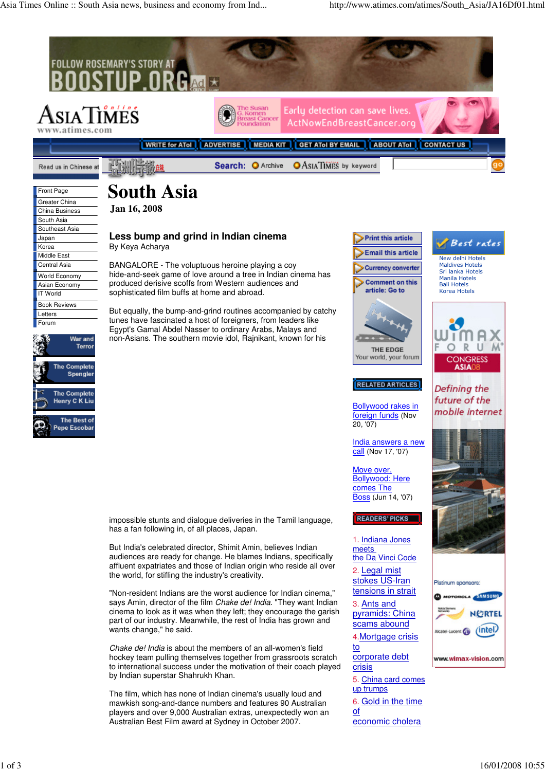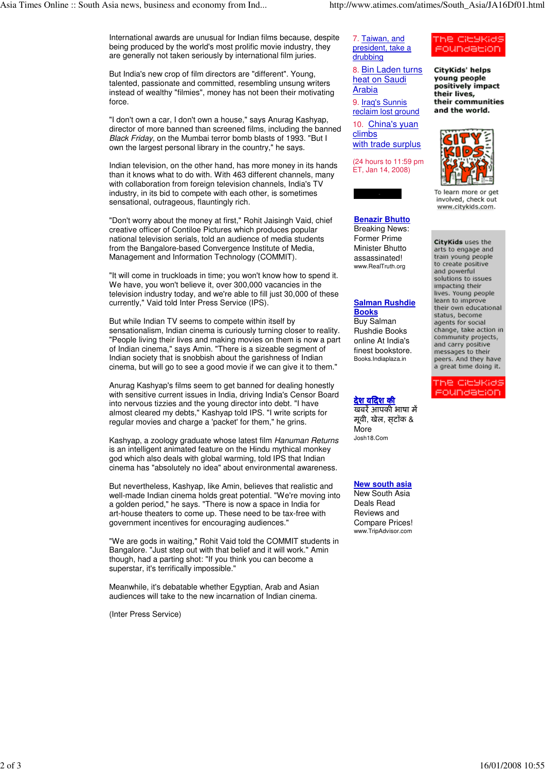International awards are unusual for Indian films because, despite being produced by the world's most prolific movie industry, they are generally not taken seriously by international film juries.

But India's new crop of film directors are "different". Young, talented, passionate and committed, resembling unsung writers instead of wealthy "filmies", money has not been their motivating force.

"I don't own a car, I don't own a house," says Anurag Kashyap, director of more banned than screened films, including the banned Black Friday, on the Mumbai terror bomb blasts of 1993. "But I own the largest personal library in the country," he says.

Indian television, on the other hand, has more money in its hands than it knows what to do with. With 463 different channels, many with collaboration from foreign television channels, India's TV industry, in its bid to compete with each other, is sometimes sensational, outrageous, flauntingly rich.

"Don't worry about the money at first," Rohit Jaisingh Vaid, chief creative officer of Contiloe Pictures which produces popular national television serials, told an audience of media students from the Bangalore-based Convergence Institute of Media, Management and Information Technology (COMMIT).

"It will come in truckloads in time; you won't know how to spend it. We have, you won't believe it, over 300,000 vacancies in the television industry today, and we're able to fill just 30,000 of these currently," Vaid told Inter Press Service (IPS).

But while Indian TV seems to compete within itself by sensationalism, Indian cinema is curiously turning closer to reality. "People living their lives and making movies on them is now a part of Indian cinema," says Amin. "There is a sizeable segment of Indian society that is snobbish about the garishness of Indian cinema, but will go to see a good movie if we can give it to them."

Anurag Kashyap's films seem to get banned for dealing honestly with sensitive current issues in India, driving India's Censor Board into nervous tizzies and the young director into debt. "I have almost cleared my debts," Kashyap told IPS. "I write scripts for regular movies and charge a 'packet' for them," he grins.

Kashyap, a zoology graduate whose latest film Hanuman Returns is an intelligent animated feature on the Hindu mythical monkey god which also deals with global warming, told IPS that Indian cinema has "absolutely no idea" about environmental awareness.

But nevertheless, Kashyap, like Amin, believes that realistic and well-made Indian cinema holds great potential. "We're moving into a golden period," he says. "There is now a space in India for art-house theaters to come up. These need to be tax-free with government incentives for encouraging audiences."

"We are gods in waiting," Rohit Vaid told the COMMIT students in Bangalore. "Just step out with that belief and it will work." Amin though, had a parting shot: "If you think you can become a superstar, it's terrifically impossible."

Meanwhile, it's debatable whether Egyptian, Arab and Asian audiences will take to the new incarnation of Indian cinema.

(Inter Press Service)

7. Taiwan, and president, take a drubbing

8. Bin Laden turns heat on Saudi Arabia

9. Iraq's Sunnis reclaim lost ground

10. China's yuan climbs with trade surplus

(24 hours to 11:59 pm ET, Jan 14, 2008)

**Benazir Bhutto** Breaking News: Former Prime Minister Bhutto assassinated! www.RealTruth.org

## **Salman Rushdie Books**

Buy Salman Rushdie Books online At India's finest bookstore. Books.Indiaplaza.in

## देश विदेश की खबरेंआपकी भाषा में

मूवी, खेल, स्टॉक & **More** Josh18.Com

**New south asia**

New South Asia Deals Read Reviews and Compare Prices! www.TripAdvisor.com

## oundacion **CityKids' helps**

The CleyKids

young people positively impact their lives, their communities and the world.



To learn more or get involved, check out www.citykids.com.

CityKids uses the arts to engage and train young people to create positive and powerful solutions to issues impacting their lives. Young people learn to improve their own educational status, become agents for social change, take action in community projects, and carry positive messages to their peers. And they have a great time doing it.

The CityKids oundacion